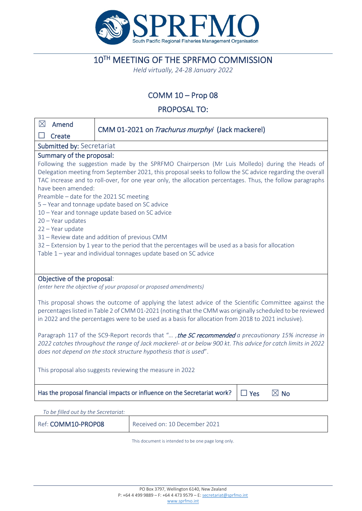

# 10TH MEETING OF THE SPRFMO COMMISSION

*Held virtually, 24-28 January 2022*

# COMM 10 – Prop 08

# PROPOSAL TO:

| $\boxtimes$                                                                                                                     | Amend                                                            | CMM 01-2021 on <i>Trachurus murphyi</i> (Jack mackerel)                                                  |  |  |  |
|---------------------------------------------------------------------------------------------------------------------------------|------------------------------------------------------------------|----------------------------------------------------------------------------------------------------------|--|--|--|
|                                                                                                                                 | Create                                                           |                                                                                                          |  |  |  |
| Submitted by: Secretariat                                                                                                       |                                                                  |                                                                                                          |  |  |  |
| Summary of the proposal:                                                                                                        |                                                                  |                                                                                                          |  |  |  |
| Following the suggestion made by the SPRFMO Chairperson (Mr Luis Molledo) during the Heads of                                   |                                                                  |                                                                                                          |  |  |  |
| Delegation meeting from September 2021, this proposal seeks to follow the SC advice regarding the overall                       |                                                                  |                                                                                                          |  |  |  |
| TAC increase and to roll-over, for one year only, the allocation percentages. Thus, the follow paragraphs<br>have been amended: |                                                                  |                                                                                                          |  |  |  |
| Preamble - date for the 2021 SC meeting                                                                                         |                                                                  |                                                                                                          |  |  |  |
| 5 - Year and tonnage update based on SC advice                                                                                  |                                                                  |                                                                                                          |  |  |  |
| 10 - Year and tonnage update based on SC advice                                                                                 |                                                                  |                                                                                                          |  |  |  |
| 20 - Year updates                                                                                                               |                                                                  |                                                                                                          |  |  |  |
| 22 - Year update                                                                                                                |                                                                  |                                                                                                          |  |  |  |
| 31 - Review date and addition of previous CMM                                                                                   |                                                                  |                                                                                                          |  |  |  |
| 32 - Extension by 1 year to the period that the percentages will be used as a basis for allocation                              |                                                                  |                                                                                                          |  |  |  |
| Table 1 - year and individual tonnages update based on SC advice                                                                |                                                                  |                                                                                                          |  |  |  |
|                                                                                                                                 |                                                                  |                                                                                                          |  |  |  |
| Objective of the proposal:                                                                                                      |                                                                  |                                                                                                          |  |  |  |
| (enter here the objective of your proposal or proposed amendments)                                                              |                                                                  |                                                                                                          |  |  |  |
|                                                                                                                                 |                                                                  |                                                                                                          |  |  |  |
|                                                                                                                                 |                                                                  | This proposal shows the outcome of applying the latest advice of the Scientific Committee against the    |  |  |  |
| percentages listed in Table 2 of CMM 01-2021 (noting that the CMM was originally scheduled to be reviewed                       |                                                                  |                                                                                                          |  |  |  |
| in 2022 and the percentages were to be used as a basis for allocation from 2018 to 2021 inclusive).                             |                                                                  |                                                                                                          |  |  |  |
| Paragraph 117 of the SC9-Report records that ", the SC recommended a precautionary 15% increase in                              |                                                                  |                                                                                                          |  |  |  |
| 2022 catches throughout the range of Jack mackerel- at or below 900 kt. This advice for catch limits in 2022                    |                                                                  |                                                                                                          |  |  |  |
|                                                                                                                                 | does not depend on the stock structure hypothesis that is used". |                                                                                                          |  |  |  |
|                                                                                                                                 |                                                                  |                                                                                                          |  |  |  |
| This proposal also suggests reviewing the measure in 2022                                                                       |                                                                  |                                                                                                          |  |  |  |
|                                                                                                                                 |                                                                  |                                                                                                          |  |  |  |
|                                                                                                                                 |                                                                  | $\boxtimes$ No<br>Has the proposal financial impacts or influence on the Secretariat work?<br>$\Box$ Yes |  |  |  |
|                                                                                                                                 |                                                                  |                                                                                                          |  |  |  |
| To be filled out by the Secretariat:                                                                                            |                                                                  |                                                                                                          |  |  |  |

Ref: COMM10-PROP08 Received on: 10 December 2021

This document is intended to be one page long only.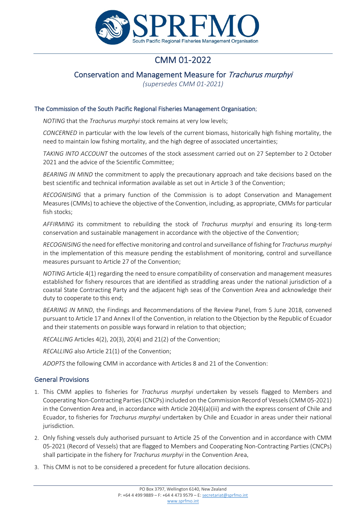

# CMM 01-2022

# Conservation and Management Measure for Trachurus murphyi

*(supersedes CMM 01-2021)*

#### The Commission of the South Pacific Regional Fisheries Management Organisation;

*NOTING* that the *Trachurus murphyi* stock remains at very low levels;

*CONCERNED* in particular with the low levels of the current biomass, historically high fishing mortality, the need to maintain low fishing mortality, and the high degree of associated uncertainties;

*TAKING INTO ACCOUNT* the outcomes of the stock assessment carried out on 27 September to 2 October 2021 and the advice of the Scientific Committee;

*BEARING IN MIND* the commitment to apply the precautionary approach and take decisions based on the best scientific and technical information available as set out in Article 3 of the Convention;

*RECOGNISING* that a primary function of the Commission is to adopt Conservation and Management Measures (CMMs) to achieve the objective of the Convention, including, as appropriate, CMMs for particular fish stocks;

*AFFIRMING* its commitment to rebuilding the stock of *Trachurus murphyi* and ensuring its long-term conservation and sustainable management in accordance with the objective of the Convention;

*RECOGNISING* the need for effective monitoring and control and surveillance of fishing for *Trachurus murphyi*  in the implementation of this measure pending the establishment of monitoring, control and surveillance measures pursuant to Article 27 of the Convention;

*NOTING* Article 4(1) regarding the need to ensure compatibility of conservation and management measures established for fishery resources that are identified as straddling areas under the national jurisdiction of a coastal State Contracting Party and the adjacent high seas of the Convention Area and acknowledge their duty to cooperate to this end;

*BEARING IN MIND*, the Findings and Recommendations of the Review Panel, from 5 June 2018, convened pursuant to Article 17 and Annex II of the Convention, in relation to the Objection by the Republic of Ecuador and their statements on possible ways forward in relation to that objection;

*RECALLING* Articles 4(2), 20(3), 20(4) and 21(2) of the Convention;

*RECALLING* also Article 21(1) of the Convention;

*ADOPTS* the following CMM in accordance with Articles 8 and 21 of the Convention:

## General Provisions

- 1. This CMM applies to fisheries for *Trachurus murphyi* undertaken by vessels flagged to Members and Cooperating Non-Contracting Parties (CNCPs) included on the Commission Record of Vessels (CMM 05-2021) in the Convention Area and, in accordance with Article 20(4)(a)(iii) and with the express consent of Chile and Ecuador, to fisheries for *Trachurus murphyi* undertaken by Chile and Ecuador in areas under their national jurisdiction.
- 2. Only fishing vessels duly authorised pursuant to Article 25 of the Convention and in accordance with CMM 05-2021 (Record of Vessels) that are flagged to Members and Cooperating Non-Contracting Parties (CNCPs) shall participate in the fishery for *Trachurus murphyi* in the Convention Area.
- 3. This CMM is not to be considered a precedent for future allocation decisions.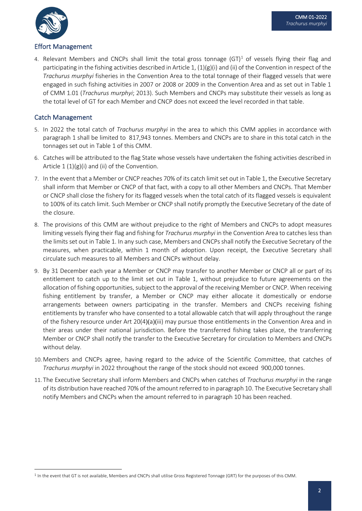

### Effort Management

4. Relevant Members and CNCPs shall limit the total gross tonnage  $(GT)^1$  of vessels flying their flag and participating in the fishing activities described in Article 1, (1)(g)(i) and (ii) of the Convention in respect of the *Trachurus murphyi* fisheries in the Convention Area to the total tonnage of their flagged vessels that were engaged in such fishing activities in 2007 or 2008 or 2009 in the Convention Area and as set out in Table 1 of CMM 1.01 (*Trachurus murphyi*; 2013). Such Members and CNCPs may substitute their vessels as long as the total level of GT for each Member and CNCP does not exceed the level recorded in that table.

## Catch Management

- 5. In 2022 the total catch of *Trachurus murphyi* in the area to which this CMM applies in accordance with paragraph 1 shall be limited to 817,943 tonnes. Members and CNCPs are to share in this total catch in the tonnages set out in Table 1 of this CMM.
- 6. Catches will be attributed to the flag State whose vessels have undertaken the fishing activities described in Article  $1 (1)(g)(i)$  and (ii) of the Convention.
- 7. In the event that a Member or CNCP reaches 70% of its catch limit set out in Table 1, the Executive Secretary shall inform that Member or CNCP of that fact, with a copy to all other Members and CNCPs. That Member or CNCP shall close the fishery for its flagged vessels when the total catch of its flagged vessels is equivalent to 100% of its catch limit. Such Member or CNCP shall notify promptly the Executive Secretary of the date of the closure.
- 8. The provisions of this CMM are without prejudice to the right of Members and CNCPs to adopt measures limiting vessels flying their flag and fishing for *Trachurus murphyi* in the Convention Area to catches less than the limits set out in Table 1. In any such case, Members and CNCPs shall notify the Executive Secretary of the measures, when practicable, within 1 month of adoption. Upon receipt, the Executive Secretary shall circulate such measures to all Members and CNCPs without delay.
- 9. By 31 December each year a Member or CNCP may transfer to another Member or CNCP all or part of its entitlement to catch up to the limit set out in Table 1, without prejudice to future agreements on the allocation of fishing opportunities, subject to the approval of the receiving Member or CNCP. When receiving fishing entitlement by transfer, a Member or CNCP may either allocate it domestically or endorse arrangements between owners participating in the transfer. Members and CNCPs receiving fishing entitlements by transfer who have consented to a total allowable catch that will apply throughout the range of the fishery resource under Art 20(4)(a)(iii) may pursue those entitlements in the Convention Area and in their areas under their national jurisdiction. Before the transferred fishing takes place, the transferring Member or CNCP shall notify the transfer to the Executive Secretary for circulation to Members and CNCPs without delay.
- 10. Members and CNCPs agree, having regard to the advice of the Scientific Committee, that catches of *Trachurus murphyi* in 2022 throughout the range of the stock should not exceed 900,000 tonnes.
- 11. The Executive Secretary shall inform Members and CNCPs when catches of *Trachurus murphyi* in the range of its distribution have reached 70% of the amount referred to in paragraph 10. The Executive Secretary shall notify Members and CNCPs when the amount referred to in paragraph 10 has been reached.

<span id="page-2-0"></span><sup>&</sup>lt;sup>1</sup> In the event that GT is not available, Members and CNCPs shall utilise Gross Registered Tonnage (GRT) for the purposes of this CMM.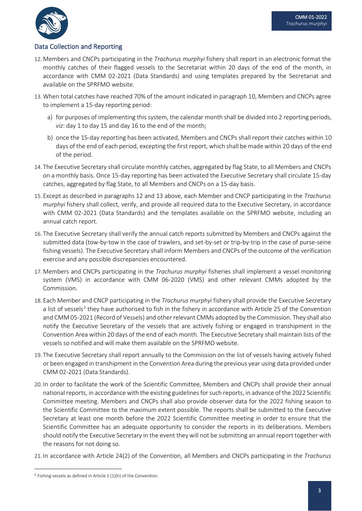

## Data Collection and Reporting

- 12. Members and CNCPs participating in the *Trachurus murphyi* fishery shall report in an electronic format the monthly catches of their flagged vessels to the Secretariat within 20 days of the end of the month, in accordance with CMM 02-2021 (Data Standards) and using templates prepared by the Secretariat and available on the SPRFMO website.
- 13. When total catches have reached 70% of the amount indicated in paragraph 10, Members and CNCPs agree to implement a 15-day reporting period:
	- a) for purposes of implementing this system, the calendar month shall be divided into 2 reporting periods, *viz*: day 1 to day 15 and day 16 to the end of the month;
	- b) once the 15-day reporting has been activated, Members and CNCPs shall report their catches within 10 days of the end of each period, excepting the first report, which shall be made within 20 days of the end of the period.
- 14. The Executive Secretary shall circulate monthly catches, aggregated by flag State, to all Members and CNCPs on a monthly basis. Once 15-day reporting has been activated the Executive Secretary shall circulate 15-day catches, aggregated by flag State, to all Members and CNCPs on a 15-day basis.
- 15. Except as described in paragraphs 12 and 13 above, each Member and CNCP participating in the *Trachurus murphyi* fishery shall collect, verify, and provide all required data to the Executive Secretary, in accordance with CMM 02-2021 (Data Standards) and the templates available on the SPRFMO website, including an annual catch report.
- 16. The Executive Secretary shall verify the annual catch reports submitted by Members and CNCPs against the submitted data (tow-by-tow in the case of trawlers, and set-by-set or trip-by-trip in the case of purse-seine fishing vessels). The Executive Secretary shall inform Members and CNCPs of the outcome of the verification exercise and any possible discrepancies encountered.
- 17. Members and CNCPs participating in the *Trachurus murphyi* fisheries shall implement a vessel monitoring system (VMS) in accordance with CMM 06-2020 (VMS) and other relevant CMMs adopted by the Commission.
- 18. Each Member and CNCP participating in the *Trachurus murphyi* fishery shall provide the Executive Secretary a list of vessels<sup>[2](#page-3-0)</sup> they have authorised to fish in the fishery in accordance with Article 25 of the Convention and CMM 05-2021 (Record of Vessels) and other relevant CMMs adopted by the Commission. They shall also notify the Executive Secretary of the vessels that are actively fishing or engaged in transhipment in the Convention Area within 20 days of the end of each month. The Executive Secretary shall maintain lists of the vessels so notified and will make them available on the SPRFMO website.
- 19. The Executive Secretary shall report annually to the Commission on the list of vessels having actively fished or been engaged in transhipment in the Convention Area during the previous year using data provided under CMM 02-2021 (Data Standards).
- 20. In order to facilitate the work of the Scientific Committee, Members and CNCPs shall provide their annual national reports, in accordance with the existing guidelines for such reports, in advance of the 2022 Scientific Committee meeting. Members and CNCPs shall also provide observer data for the 2022 fishing season to the Scientific Committee to the maximum extent possible. The reports shall be submitted to the Executive Secretary at least one month before the 2022 Scientific Committee meeting in order to ensure that the Scientific Committee has an adequate opportunity to consider the reports in its deliberations. Members should notify the Executive Secretary in the event they will not be submitting an annual report together with the reasons for not doing so.
- 21. In accordance with Article 24(2) of the Convention, all Members and CNCPs participating in the *Trachurus*

<span id="page-3-0"></span><sup>&</sup>lt;sup>2</sup> Fishing vessels as defined in Article  $1(1)(h)$  of the Convention.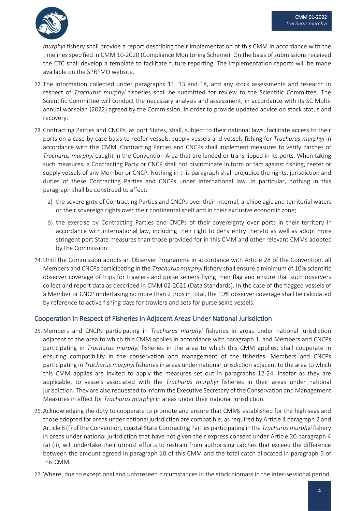

*murphyi* fishery shall provide a report describing their implementation of this CMM in accordance with the timelines specified in CMM 10-2020 (Compliance Monitoring Scheme). On the basis of submissions received the CTC shall develop a template to facilitate future reporting. The implementation reports will be made available on the SPRFMO website.

- 22. The information collected under paragraphs 11, 13 and 18, and any stock assessments and research in respect of *Trachurus murphyi* fisheries shall be submitted for review to the Scientific Committee. The Scientific Committee will conduct the necessary analysis and assessment, in accordance with its SC Multiannual workplan (2022) agreed by the Commission, in order to provide updated advice on stock status and recovery.
- 23. Contracting Parties and CNCPs, as port States, shall, subject to their national laws, facilitate access to their ports on a case-by-case basis to reefer vessels, supply vessels and vessels fishing for *Trachurus murphyi* in accordance with this CMM. Contracting Parties and CNCPs shall implement measures to verify catches of *Trachurus murphyi* caught in the Convention Area that are landed or transhipped in its ports. When taking such measures, a Contracting Party or CNCP shall not discriminate in form or fact against fishing, reefer or supply vessels of any Member or CNCP. Nothing in this paragraph shall prejudice the rights, jurisdiction and duties of these Contracting Parties and CNCPs under international law. In particular, nothing in this paragraph shall be construed to affect:
	- a) the sovereignty of Contracting Parties and CNCPs over their internal, archipelagic and territorial waters or their sovereign rights over their continental shelf and in their exclusive economic zone;
	- b) the exercise by Contracting Parties and CNCPs of their sovereignty over ports in their territory in accordance with international law, including their right to deny entry thereto as well as adopt more stringent port State measures than those provided for in this CMM and other relevant CMMs adopted by the Commission.
- 24.Until the Commission adopts an Observer Programme in accordance with Article 28 of the Convention, all Members and CNCPs participating in the *Trachurus murphyi* fishery shall ensure a minimum of 10% scientific observer coverage of trips for trawlers and purse seiners flying their flag and ensure that such observers collect and report data as described in CMM 02-2021 (Data Standards). In the case of the flagged vessels of a Member or CNCP undertaking no more than 2 trips in total, the 10% observer coverage shall be calculated by reference to active fishing days for trawlers and sets for purse seine vessels.

## Cooperation in Respect of Fisheries in Adjacent Areas Under National Jurisdiction

- 25. Members and CNCPs participating in *Trachurus murphyi* fisheries in areas under national jurisdiction adjacent to the area to which this CMM applies in accordance with paragraph 1, and Members and CNCPs participating in *Trachurus murphyi* fisheries in the area to which this CMM applies, shall cooperate in ensuring compatibility in the conservation and management of the fisheries. Members and CNCPs participating in *Trachurus murphyi* fisheries in areas under national jurisdiction adjacent to the area to which this CMM applies are invited to apply the measures set out in paragraphs 12-24, insofar as they are applicable, to vessels associated with the *Trachurus murphyi* fisheries in their areas under national jurisdiction. They are also requested to inform the Executive Secretary of the Conservation and Management Measures in effect for *Trachurus murphyi* in areas under their national jurisdiction.
- 26. Acknowledging the duty to cooperate to promote and ensure that CMMs established for the high seas and those adopted for areas under national jurisdiction are compatible, as required by Article 4 paragraph 2 and Article 8 (f) of the Convention, coastal State Contracting Parties participating in the *Trachurus murphyi* fishery in areas under national jurisdiction that have not given their express consent under Article 20 paragraph 4 (a) (ii), will undertake their utmost efforts to restrain from authorising catches that exceed the difference between the amount agreed in paragraph 10 of this CMM and the total catch allocated in paragraph 5 of this CMM.
- 27. Where, due to exceptional and unforeseen circumstances in the stock biomass in the inter-sessional period,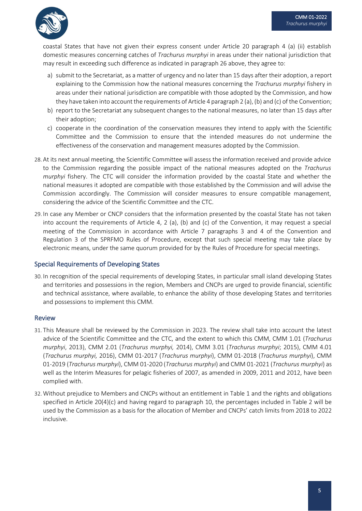

coastal States that have not given their express consent under Article 20 paragraph 4 (a) (ii) establish domestic measures concerning catches of *Trachurus murphyi* in areas under their national jurisdiction that may result in exceeding such difference as indicated in paragraph 26 above, they agree to:

- a) submit to the Secretariat, as a matter of urgency and no later than 15 days after their adoption, a report explaining to the Commission how the national measures concerning the *Trachurus murphyi* fishery in areas under their national jurisdiction are compatible with those adopted by the Commission, and how they have taken into account the requirements of Article 4 paragraph 2 (a), (b) and (c) of the Convention;
- b) report to the Secretariat any subsequent changes to the national measures, no later than 15 days after their adoption;
- c) cooperate in the coordination of the conservation measures they intend to apply with the Scientific Committee and the Commission to ensure that the intended measures do not undermine the effectiveness of the conservation and management measures adopted by the Commission.
- 28. At its next annual meeting, the Scientific Committee will assess the information received and provide advice to the Commission regarding the possible impact of the national measures adopted on the *Trachurus murphyi* fishery. The CTC will consider the information provided by the coastal State and whether the national measures it adopted are compatible with those established by the Commission and will advise the Commission accordingly. The Commission will consider measures to ensure compatible management, considering the advice of the Scientific Committee and the CTC.
- 29. In case any Member or CNCP considers that the information presented by the coastal State has not taken into account the requirements of Article 4, 2 (a), (b) and (c) of the Convention, it may request a special meeting of the Commission in accordance with Article 7 paragraphs 3 and 4 of the Convention and Regulation 3 of the SPRFMO Rules of Procedure, except that such special meeting may take place by electronic means, under the same quorum provided for by the Rules of Procedure for special meetings.

#### Special Requirements of Developing States

30. In recognition of the special requirements of developing States, in particular small island developing States and territories and possessions in the region, Members and CNCPs are urged to provide financial, scientific and technical assistance, where available, to enhance the ability of those developing States and territories and possessions to implement this CMM.

#### Review

- 31. This Measure shall be reviewed by the Commission in 2023. The review shall take into account the latest advice of the Scientific Committee and the CTC, and the extent to which this CMM, CMM 1.01 (*Trachurus murphyi*, 2013), CMM 2.01 (*Trachurus murphyi,* 2014), CMM 3.01 (*Trachurus murphyi*; 2015), CMM 4.01 (*Trachurus murphyi,* 2016), CMM 01-2017 (*Trachurus murphyi*), CMM 01-2018 (*Trachurus murphyi*), CMM 01-2019 (*Trachurus murphyi*), CMM 01-2020 (*Trachurus murphyi*) and CMM 01-2021 (*Trachurus murphyi*) as well as the Interim Measures for pelagic fisheries of 2007, as amended in 2009, 2011 and 2012, have been complied with.
- 32. Without prejudice to Members and CNCPs without an entitlement in Table 1 and the rights and obligations specified in Article 20(4)(c) and having regard to paragraph 10, the percentages included in Table 2 will be used by the Commission as a basis for the allocation of Member and CNCPs' catch limits from 2018 to 2022 inclusive.